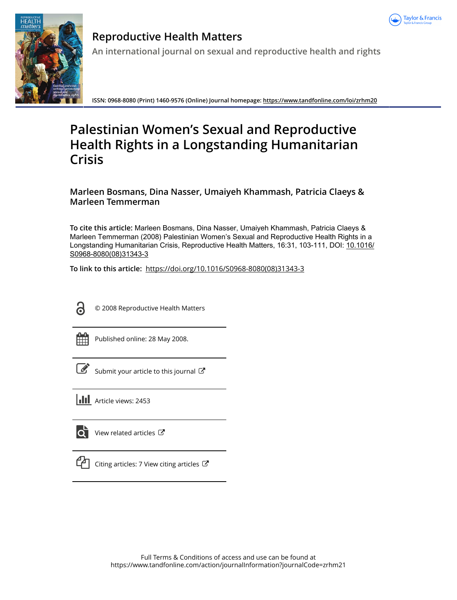

**Reproductive Health Matters An international journal on sexual and reproductive health and rights**

**ISSN: 0968-8080 (Print) 1460-9576 (Online) Journal homepage:<https://www.tandfonline.com/loi/zrhm20>**

# **Palestinian Women's Sexual and Reproductive Health Rights in a Longstanding Humanitarian Crisis**

# **Marleen Bosmans, Dina Nasser, Umaiyeh Khammash, Patricia Claeys & Marleen Temmerman**

**To cite this article:** Marleen Bosmans, Dina Nasser, Umaiyeh Khammash, Patricia Claeys & Marleen Temmerman (2008) Palestinian Women's Sexual and Reproductive Health Rights in a Longstanding Humanitarian Crisis, Reproductive Health Matters, 16:31, 103-111, DOI: [10.1016/](https://www.tandfonline.com/action/showCitFormats?doi=10.1016/S0968-8080(08)31343-3) [S0968-8080\(08\)31343-3](https://www.tandfonline.com/action/showCitFormats?doi=10.1016/S0968-8080(08)31343-3)

**To link to this article:** [https://doi.org/10.1016/S0968-8080\(08\)31343-3](https://doi.org/10.1016/S0968-8080(08)31343-3)

© 2008 Reproductive Health Matters

Published online: 28 May 2008.

| <b>Service Service Service Service Service</b> |
|------------------------------------------------|

[Submit your article to this journal](https://www.tandfonline.com/action/authorSubmission?journalCode=zrhm21&show=instructions)  $\mathbb{Z}$ 

Article views: 2453



 $\overrightarrow{O}$  [View related articles](https://www.tandfonline.com/doi/mlt/10.1016/S0968-8080(08)31343-3)  $\overrightarrow{C}$ 

[Citing articles: 7 View citing articles](https://www.tandfonline.com/doi/citedby/10.1016/S0968-8080(08)31343-3#tabModule)  $\mathbb{Z}$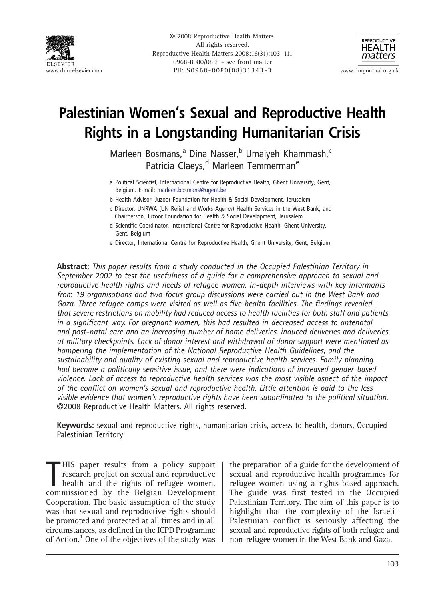



# Palestinian Women's Sexual and Reproductive Health Rights in a Longstanding Humanitarian Crisis

Marleen Bosmans,<sup>a</sup> Dina Nasser,<sup>b</sup> Umaiyeh Khammash,<sup>c</sup> Patricia Claeys,<sup>d</sup> Marleen Temmerman<sup>e</sup>

- a Political Scientist, International Centre for Reproductive Health, Ghent University, Gent, Belgium. E-mail: [marleen.bosmans@ugent.be](mailto:marleen.bosmans@ugent.be)
- b Health Advisor, Juzoor Foundation for Health & Social Development, Jerusalem
- c Director, UNRWA (UN Relief and Works Agency) Health Services in the West Bank, and Chairperson, Juzoor Foundation for Health & Social Development, Jerusalem
- d Scientific Coordinator, International Centre for Reproductive Health, Ghent University, Gent, Belgium
- e Director, International Centre for Reproductive Health, Ghent University, Gent, Belgium

Abstract: This paper results from a study conducted in the Occupied Palestinian Territory in September 2002 to test the usefulness of a quide for a comprehensive approach to sexual and reproductive health rights and needs of refugee women. In-depth interviews with key informants from 19 organisations and two focus group discussions were carried out in the West Bank and Gaza. Three refugee camps were visited as well as five health facilities. The findings revealed that severe restrictions on mobility had reduced access to health facilities for both staff and patients in a significant way. For pregnant women, this had resulted in decreased access to antenatal and post-natal care and an increasing number of home deliveries, induced deliveries and deliveries at military checkpoints. Lack of donor interest and withdrawal of donor support were mentioned as hampering the implementation of the National Reproductive Health Guidelines, and the sustainability and quality of existing sexual and reproductive health services. Family planning had become a politically sensitive issue, and there were indications of increased gender-based violence. Lack of access to reproductive health services was the most visible aspect of the impact of the conflict on women's sexual and reproductive health. Little attention is paid to the less visible evidence that women's reproductive rights have been subordinated to the political situation. ©2008 Reproductive Health Matters. All rights reserved.

Keywords: sexual and reproductive rights, humanitarian crisis, access to health, donors, Occupied Palestinian Territory

HIS paper results from a policy support research project on sexual and reproductive health and the rights of refugee women, commissioned by the Belgian Development HIS paper results from a policy support research project on sexual and reproductive health and the rights of refugee women, Cooperation. The basic assumption of the study was that sexual and reproductive rights should be promoted and protected at all times and in all circumstances, as defined in the ICPD Programme of Action.<sup>1</sup> One of the objectives of the study was the preparation of a guide for the development of sexual and reproductive health programmes for refugee women using a rights-based approach. The guide was first tested in the Occupied Palestinian Territory. The aim of this paper is to highlight that the complexity of the Israeli– Palestinian conflict is seriously affecting the sexual and reproductive rights of both refugee and non-refugee women in the West Bank and Gaza.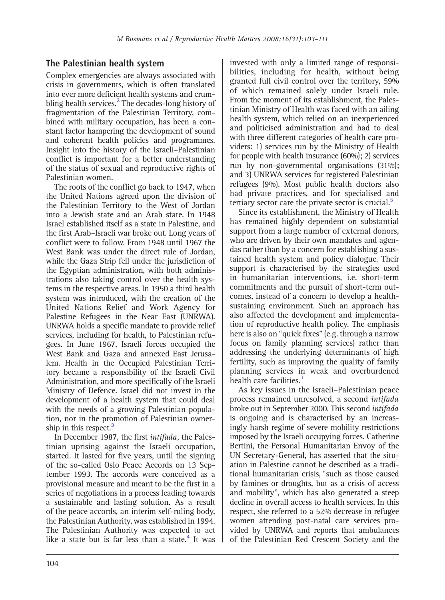# The Palestinian health system

Complex emergencies are always associated with crisis in governments, which is often translated into ever more deficient health systems and crum-bling health services.<sup>[2](#page-8-0)</sup> The decades-long history of fragmentation of the Palestinian Territory, combined with military occupation, has been a constant factor hampering the development of sound and coherent health policies and programmes. Insight into the history of the Israeli–Palestinian conflict is important for a better understanding of the status of sexual and reproductive rights of Palestinian women.

The roots of the conflict go back to 1947, when the United Nations agreed upon the division of the Palestinian Territory to the West of Jordan into a Jewish state and an Arab state. In 1948 Israel established itself as a state in Palestine, and the first Arab–Israeli war broke out. Long years of conflict were to follow. From 1948 until 1967 the West Bank was under the direct rule of Jordan, while the Gaza Strip fell under the jurisdiction of the Egyptian administration, with both administrations also taking control over the health systems in the respective areas. In 1950 a third health system was introduced, with the creation of the United Nations Relief and Work Agency for Palestine Refugees in the Near East (UNRWA). UNRWA holds a specific mandate to provide relief services, including for health, to Palestinian refugees. In June 1967, Israeli forces occupied the West Bank and Gaza and annexed East Jerusalem. Health in the Occupied Palestinian Territory became a responsibility of the Israeli Civil Administration, and more specifically of the Israeli Ministry of Defence. Israel did not invest in the development of a health system that could deal with the needs of a growing Palestinian population, nor in the promotion of Palestinian ownership in this respect. $3$ 

In December 1987, the first intifada, the Palestinian uprising against the Israeli occupation, started. It lasted for five years, until the signing of the so-called Oslo Peace Accords on 13 September 1993. The accords were conceived as a provisional measure and meant to be the first in a series of negotiations in a process leading towards a sustainable and lasting solution. As a result of the peace accords, an interim self-ruling body, the Palestinian Authority, was established in 1994. The Palestinian Authority was expected to act like a state but is far less than a state. $4$  It was

invested with only a limited range of responsibilities, including for health, without being granted full civil control over the territory, 59% of which remained solely under Israeli rule. From the moment of its establishment, the Palestinian Ministry of Health was faced with an ailing health system, which relied on an inexperienced and politicised administration and had to deal with three different categories of health care providers: 1) services run by the Ministry of Health for people with health insurance (60%); 2) services run by non-governmental organisations (31%); and 3) UNRWA services for registered Palestinian refugees (9%). Most public health doctors also had private practices, and for specialised and tertiary sector care the private sector is crucial.<sup>5</sup>

Since its establishment, the Ministry of Health has remained highly dependent on substantial support from a large number of external donors, who are driven by their own mandates and agendas rather than by a concern for establishing a sustained health system and policy dialogue. Their support is characterised by the strategies used in humanitarian interventions, i.e. short-term commitments and the pursuit of short-term outcomes, instead of a concern to develop a healthsustaining environment. Such an approach has also affected the development and implementation of reproductive health policy. The emphasis here is also on ''quick fixes'' (e.g. through a narrow focus on family planning services) rather than addressing the underlying determinants of high fertility, such as improving the quality of family planning services in weak and overburdened health care facilities.<sup>3</sup>

As key issues in the Israeli–Palestinian peace process remained unresolved, a second intifada broke out in September 2000. This second intifada is ongoing and is characterised by an increasingly harsh regime of severe mobility restrictions imposed by the Israeli occupying forces. Catherine Bertini, the Personal Humanitarian Envoy of the UN Secretary-General, has asserted that the situation in Palestine cannot be described as a traditional humanitarian crisis, "such as those caused by famines or droughts, but as a crisis of access and mobility'', which has also generated a steep decline in overall access to health services. In this respect, she referred to a 52% decrease in refugee women attending post-natal care services provided by UNRWA and reports that ambulances of the Palestinian Red Crescent Society and the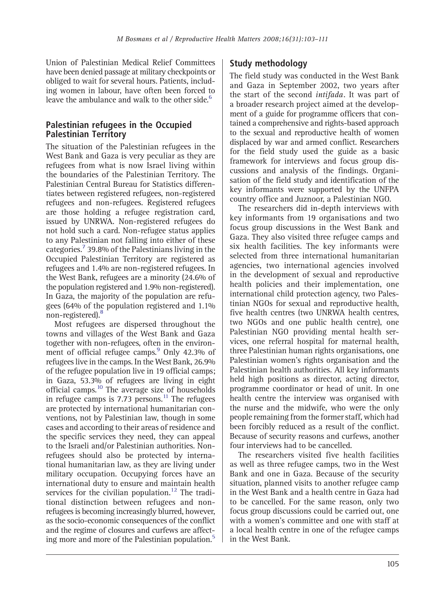Union of Palestinian Medical Relief Committees have been denied passage at military checkpoints or obliged to wait for several hours. Patients, including women in labour, have often been forced to leave the ambulance and walk to the other side. $6\overline{6}$  $6\overline{6}$ 

### Palestinian refugees in the Occupied Palestinian Territory

The situation of the Palestinian refugees in the West Bank and Gaza is very peculiar as they are refugees from what is now Israel living within the boundaries of the Palestinian Territory. The Palestinian Central Bureau for Statistics differentiates between registered refugees, non-registered refugees and non-refugees. Registered refugees are those holding a refugee registration card, issued by UNRWA. Non-registered refugees do not hold such a card. Non-refugee status applies to any Palestinian not falling into either of these categories[.7](#page-8-0) 39.8% of the Palestinians living in the Occupied Palestinian Territory are registered as refugees and 1.4% are non-registered refugees. In the West Bank, refugees are a minority (24.6% of the population registered and 1.9% non-registered). In Gaza, the majority of the population are refugees (64% of the population registered and 1.1% non-registered).<sup>8</sup>

Most refugees are dispersed throughout the towns and villages of the West Bank and Gaza together with non-refugees, often in the environ-ment of official refugee camps.<sup>[9](#page-8-0)</sup> Only 42.3% of refugees live in the camps. In the West Bank, 26.9% of the refugee population live in 19 official camps; in Gaza, 53.3% of refugees are living in eight official camps[.10](#page-8-0) The average size of households in refugee camps is  $7.73$  persons.<sup>[11](#page-8-0)</sup> The refugees are protected by international humanitarian conventions, not by Palestinian law, though in some cases and according to their areas of residence and the specific services they need, they can appeal to the Israeli and/or Palestinian authorities. Nonrefugees should also be protected by international humanitarian law, as they are living under military occupation. Occupying forces have an international duty to ensure and maintain health services for the civilian population.<sup>12</sup> The traditional distinction between refugees and nonrefugees is becoming increasingly blurred, however, as the socio-economic consequences of the conflict and the regime of closures and curfews are affecting more and more of the Palestinian population.<sup>5</sup>

# Study methodology

The field study was conducted in the West Bank and Gaza in September 2002, two years after the start of the second intifada. It was part of a broader research project aimed at the development of a guide for programme officers that contained a comprehensive and rights-based approach to the sexual and reproductive health of women displaced by war and armed conflict. Researchers for the field study used the guide as a basic framework for interviews and focus group discussions and analysis of the findings. Organisation of the field study and identification of the key informants were supported by the UNFPA country office and Juznoor, a Palestinian NGO.

The researchers did in-depth interviews with key informants from 19 organisations and two focus group discussions in the West Bank and Gaza. They also visited three refugee camps and six health facilities. The key informants were selected from three international humanitarian agencies, two international agencies involved in the development of sexual and reproductive health policies and their implementation, one international child protection agency, two Palestinian NGOs for sexual and reproductive health, five health centres (two UNRWA health centres, two NGOs and one public health centre), one Palestinian NGO providing mental health services, one referral hospital for maternal health, three Palestinian human rights organisations, one Palestinian women's rights organisation and the Palestinian health authorities. All key informants held high positions as director, acting director, programme coordinator or head of unit. In one health centre the interview was organised with the nurse and the midwife, who were the only people remaining from the former staff, which had been forcibly reduced as a result of the conflict. Because of security reasons and curfews, another four interviews had to be cancelled.

The researchers visited five health facilities as well as three refugee camps, two in the West Bank and one in Gaza. Because of the security situation, planned visits to another refugee camp in the West Bank and a health centre in Gaza had to be cancelled. For the same reason, only two focus group discussions could be carried out, one with a women's committee and one with staff at a local health centre in one of the refugee camps in the West Bank.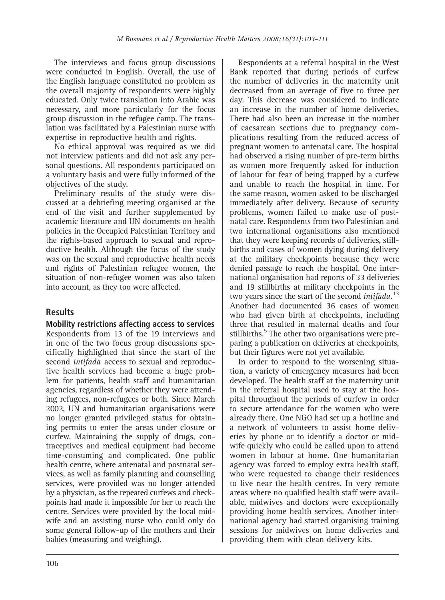The interviews and focus group discussions were conducted in English. Overall, the use of the English language constituted no problem as the overall majority of respondents were highly educated. Only twice translation into Arabic was necessary, and more particularly for the focus group discussion in the refugee camp. The translation was facilitated by a Palestinian nurse with expertise in reproductive health and rights.

No ethical approval was required as we did not interview patients and did not ask any personal questions. All respondents participated on a voluntary basis and were fully informed of the objectives of the study.

Preliminary results of the study were discussed at a debriefing meeting organised at the end of the visit and further supplemented by academic literature and UN documents on health policies in the Occupied Palestinian Territory and the rights-based approach to sexual and reproductive health. Although the focus of the study was on the sexual and reproductive health needs and rights of Palestinian refugee women, the situation of non-refugee women was also taken into account, as they too were affected.

# Results

#### Mobility restrictions affecting access to services Respondents from 13 of the 19 interviews and in one of the two focus group discussions specifically highlighted that since the start of the second intifada access to sexual and reproductive health services had become a huge problem for patients, health staff and humanitarian agencies, regardless of whether they were attending refugees, non-refugees or both. Since March 2002, UN and humanitarian organisations were no longer granted privileged status for obtaining permits to enter the areas under closure or curfew. Maintaining the supply of drugs, contraceptives and medical equipment had become time-consuming and complicated. One public health centre, where antenatal and postnatal services, as well as family planning and counselling services, were provided was no longer attended by a physician, as the repeated curfews and checkpoints had made it impossible for her to reach the centre. Services were provided by the local midwife and an assisting nurse who could only do some general follow-up of the mothers and their babies (measuring and weighing).

Respondents at a referral hospital in the West Bank reported that during periods of curfew the number of deliveries in the maternity unit decreased from an average of five to three per day. This decrease was considered to indicate an increase in the number of home deliveries. There had also been an increase in the number of caesarean sections due to pregnancy complications resulting from the reduced access of pregnant women to antenatal care. The hospital had observed a rising number of pre-term births as women more frequently asked for induction of labour for fear of being trapped by a curfew and unable to reach the hospital in time. For the same reason, women asked to be discharged immediately after delivery. Because of security problems, women failed to make use of postnatal care. Respondents from two Palestinian and two international organisations also mentioned that they were keeping records of deliveries, stillbirths and cases of women dying during delivery at the military checkpoints because they were denied passage to reach the hospital. One international organisation had reports of 33 deliveries and 19 stillbirths at military checkpoints in the two years since the start of the second *intifada*.<sup>[13](#page-8-0)</sup> Another had documented 36 cases of women who had given birth at checkpoints, including three that resulted in maternal deaths and four stillbirths.<sup>5</sup> The other two organisations were preparing a publication on deliveries at checkpoints, but their figures were not yet available.

In order to respond to the worsening situation, a variety of emergency measures had been developed. The health staff at the maternity unit in the referral hospital used to stay at the hospital throughout the periods of curfew in order to secure attendance for the women who were already there. One NGO had set up a hotline and a network of volunteers to assist home deliveries by phone or to identify a doctor or midwife quickly who could be called upon to attend women in labour at home. One humanitarian agency was forced to employ extra health staff, who were requested to change their residences to live near the health centres. In very remote areas where no qualified health staff were available, midwives and doctors were exceptionally providing home health services. Another international agency had started organising training sessions for midwives on home deliveries and providing them with clean delivery kits.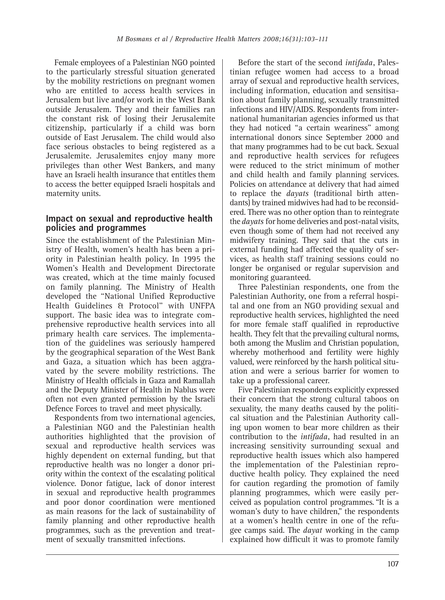Female employees of a Palestinian NGO pointed to the particularly stressful situation generated by the mobility restrictions on pregnant women who are entitled to access health services in Jerusalem but live and/or work in the West Bank outside Jerusalem. They and their families ran the constant risk of losing their Jerusalemite citizenship, particularly if a child was born outside of East Jerusalem. The child would also face serious obstacles to being registered as a Jerusalemite. Jerusalemites enjoy many more privileges than other West Bankers, and many have an Israeli health insurance that entitles them to access the better equipped Israeli hospitals and maternity units.

### Impact on sexual and reproductive health policies and programmes

Since the establishment of the Palestinian Ministry of Health, women's health has been a priority in Palestinian health policy. In 1995 the Women's Health and Development Directorate was created, which at the time mainly focused on family planning. The Ministry of Health developed the ''National Unified Reproductive Health Guidelines & Protocol'' with UNFPA support. The basic idea was to integrate comprehensive reproductive health services into all primary health care services. The implementation of the guidelines was seriously hampered by the geographical separation of the West Bank and Gaza, a situation which has been aggravated by the severe mobility restrictions. The Ministry of Health officials in Gaza and Ramallah and the Deputy Minister of Health in Nablus were often not even granted permission by the Israeli Defence Forces to travel and meet physically.

Respondents from two international agencies, a Palestinian NGO and the Palestinian health authorities highlighted that the provision of sexual and reproductive health services was highly dependent on external funding, but that reproductive health was no longer a donor priority within the context of the escalating political violence. Donor fatigue, lack of donor interest in sexual and reproductive health programmes and poor donor coordination were mentioned as main reasons for the lack of sustainability of family planning and other reproductive health programmes, such as the prevention and treatment of sexually transmitted infections.

Before the start of the second intifada, Palestinian refugee women had access to a broad array of sexual and reproductive health services, including information, education and sensitisation about family planning, sexually transmitted infections and HIV/AIDS. Respondents from international humanitarian agencies informed us that they had noticed ''a certain weariness'' among international donors since September 2000 and that many programmes had to be cut back. Sexual and reproductive health services for refugees were reduced to the strict minimum of mother and child health and family planning services. Policies on attendance at delivery that had aimed to replace the *dayats* (traditional birth attendants) by trained midwives had had to be reconsidered. There was no other option than to reintegrate the *dayats* for home deliveries and post-natal visits, even though some of them had not received any midwifery training. They said that the cuts in external funding had affected the quality of services, as health staff training sessions could no longer be organised or regular supervision and monitoring guaranteed.

Three Palestinian respondents, one from the Palestinian Authority, one from a referral hospital and one from an NGO providing sexual and reproductive health services, highlighted the need for more female staff qualified in reproductive health. They felt that the prevailing cultural norms, both among the Muslim and Christian population, whereby motherhood and fertility were highly valued, were reinforced by the harsh political situation and were a serious barrier for women to take up a professional career.

Five Palestinian respondents explicitly expressed their concern that the strong cultural taboos on sexuality, the many deaths caused by the political situation and the Palestinian Authority calling upon women to bear more children as their contribution to the intifada, had resulted in an increasing sensitivity surrounding sexual and reproductive health issues which also hampered the implementation of the Palestinian reproductive health policy. They explained the need for caution regarding the promotion of family planning programmes, which were easily perceived as population control programmes. ''It is a woman's duty to have children,'' the respondents at a women's health centre in one of the refugee camps said. The *dayat* working in the camp explained how difficult it was to promote family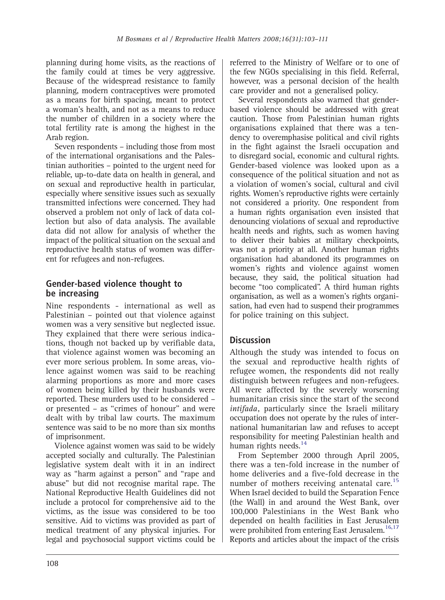planning during home visits, as the reactions of the family could at times be very aggressive. Because of the widespread resistance to family planning, modern contraceptives were promoted as a means for birth spacing, meant to protect a woman's health, and not as a means to reduce the number of children in a society where the total fertility rate is among the highest in the Arab region.

Seven respondents – including those from most of the international organisations and the Palestinian authorities – pointed to the urgent need for reliable, up-to-date data on health in general, and on sexual and reproductive health in particular, especially where sensitive issues such as sexually transmitted infections were concerned. They had observed a problem not only of lack of data collection but also of data analysis. The available data did not allow for analysis of whether the impact of the political situation on the sexual and reproductive health status of women was different for refugees and non-refugees.

# Gender-based violence thought to be increasing

Nine respondents - international as well as Palestinian – pointed out that violence against women was a very sensitive but neglected issue. They explained that there were serious indications, though not backed up by verifiable data, that violence against women was becoming an ever more serious problem. In some areas, violence against women was said to be reaching alarming proportions as more and more cases of women being killed by their husbands were reported. These murders used to be considered – or presented – as ''crimes of honour'' and were dealt with by tribal law courts. The maximum sentence was said to be no more than six months of imprisonment.

Violence against women was said to be widely accepted socially and culturally. The Palestinian legislative system dealt with it in an indirect way as ''harm against a person'' and ''rape and abuse'' but did not recognise marital rape. The National Reproductive Health Guidelines did not include a protocol for comprehensive aid to the victims, as the issue was considered to be too sensitive. Aid to victims was provided as part of medical treatment of any physical injuries. For legal and psychosocial support victims could be

referred to the Ministry of Welfare or to one of the few NGOs specialising in this field. Referral, however, was a personal decision of the health care provider and not a generalised policy.

Several respondents also warned that genderbased violence should be addressed with great caution. Those from Palestinian human rights organisations explained that there was a tendency to overemphasise political and civil rights in the fight against the Israeli occupation and to disregard social, economic and cultural rights. Gender-based violence was looked upon as a consequence of the political situation and not as a violation of women's social, cultural and civil rights. Women's reproductive rights were certainly not considered a priority. One respondent from a human rights organisation even insisted that denouncing violations of sexual and reproductive health needs and rights, such as women having to deliver their babies at military checkpoints, was not a priority at all. Another human rights organisation had abandoned its programmes on women's rights and violence against women because, they said, the political situation had become ''too complicated''. A third human rights organisation, as well as a women's rights organisation, had even had to suspend their programmes for police training on this subject.

# **Discussion**

Although the study was intended to focus on the sexual and reproductive health rights of refugee women, the respondents did not really distinguish between refugees and non-refugees. All were affected by the severely worsening humanitarian crisis since the start of the second intifada, particularly since the Israeli military occupation does not operate by the rules of international humanitarian law and refuses to accept responsibility for meeting Palestinian health and human rights needs.<sup>14</sup>

From September 2000 through April 2005, there was a ten-fold increase in the number of home deliveries and a five-fold decrease in the number of mothers receiving antenatal care.<sup>[15](#page-8-0)</sup> When Israel decided to build the Separation Fence (the Wall) in and around the West Bank, over 100,000 Palestinians in the West Bank who depended on health facilities in East Jerusalem were prohibited from entering East Jerusalem.<sup>16,17</sup> Reports and articles about the impact of the crisis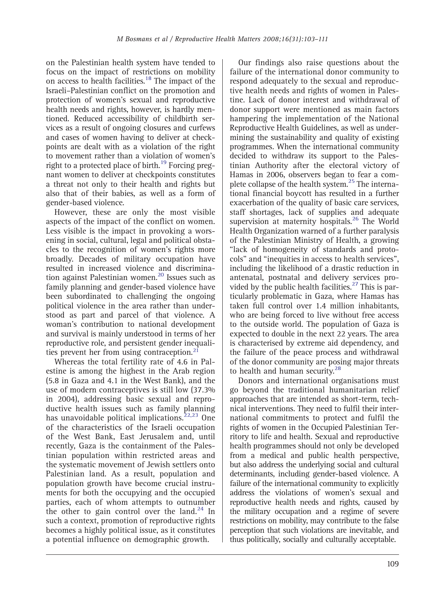on the Palestinian health system have tended to focus on the impact of restrictions on mobility on access to health facilities.<sup>18</sup> The impact of the Israeli–Palestinian conflict on the promotion and protection of women's sexual and reproductive health needs and rights, however, is hardly mentioned. Reduced accessibility of childbirth services as a result of ongoing closures and curfews and cases of women having to deliver at checkpoints are dealt with as a violation of the right to movement rather than a violation of women's right to a protected place of birth.<sup>[19](#page-8-0)</sup> Forcing pregnant women to deliver at checkpoints constitutes a threat not only to their health and rights but also that of their babies, as well as a form of gender-based violence.

However, these are only the most visible aspects of the impact of the conflict on women. Less visible is the impact in provoking a worsening in social, cultural, legal and political obstacles to the recognition of women's rights more broadly. Decades of military occupation have resulted in increased violence and discrimina-tion against Palestinian women.<sup>[20](#page-8-0)</sup> Issues such as family planning and gender-based violence have been subordinated to challenging the ongoing political violence in the area rather than understood as part and parcel of that violence. A woman's contribution to national development and survival is mainly understood in terms of her reproductive role, and persistent gender inequalities prevent her from using contraception. $21$ 

Whereas the total fertility rate of 4.6 in Palestine is among the highest in the Arab region (5.8 in Gaza and 4.1 in the West Bank), and the use of modern contraceptives is still low (37.3% in 2004), addressing basic sexual and reproductive health issues such as family planning has unavoidable political implications.<sup>[22](#page-8-0),[23](#page-9-0)</sup> One of the characteristics of the Israeli occupation of the West Bank, East Jerusalem and, until recently, Gaza is the containment of the Palestinian population within restricted areas and the systematic movement of Jewish settlers onto Palestinian land. As a result, population and population growth have become crucial instruments for both the occupying and the occupied parties, each of whom attempts to outnumber the other to gain control over the land. $24$  In such a context, promotion of reproductive rights becomes a highly political issue, as it constitutes a potential influence on demographic growth.

Our findings also raise questions about the failure of the international donor community to respond adequately to the sexual and reproductive health needs and rights of women in Palestine. Lack of donor interest and withdrawal of donor support were mentioned as main factors hampering the implementation of the National Reproductive Health Guidelines, as well as undermining the sustainability and quality of existing programmes. When the international community decided to withdraw its support to the Palestinian Authority after the electoral victory of Hamas in 2006, observers began to fear a complete collapse of the health system.<sup>25</sup> The international financial boycott has resulted in a further exacerbation of the quality of basic care services, staff shortages, lack of supplies and adequate supervision at maternity hospitals.<sup>[26](#page-9-0)</sup> The World Health Organization warned of a further paralysis of the Palestinian Ministry of Health, a growing ''lack of homogeneity of standards and protocols'' and ''inequities in access to health services'', including the likelihood of a drastic reduction in antenatal, postnatal and delivery services provided by the public health facilities.<sup>27</sup> This is particularly problematic in Gaza, where Hamas has taken full control over 1.4 million inhabitants, who are being forced to live without free access to the outside world. The population of Gaza is expected to double in the next 22 years. The area is characterised by extreme aid dependency, and the failure of the peace process and withdrawal of the donor community are posing major threats to health and human security.<sup>28</sup>

Donors and international organisations must go beyond the traditional humanitarian relief approaches that are intended as short-term, technical interventions. They need to fulfil their international commitments to protect and fulfil the rights of women in the Occupied Palestinian Territory to life and health. Sexual and reproductive health programmes should not only be developed from a medical and public health perspective, but also address the underlying social and cultural determinants, including gender-based violence. A failure of the international community to explicitly address the violations of women's sexual and reproductive health needs and rights, caused by the military occupation and a regime of severe restrictions on mobility, may contribute to the false perception that such violations are inevitable, and thus politically, socially and culturally acceptable.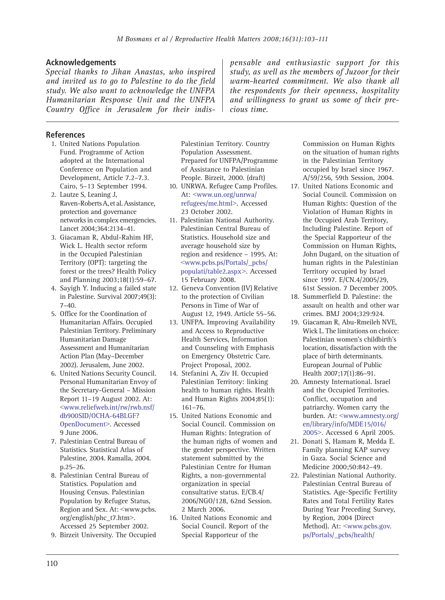#### <span id="page-8-0"></span>Acknowledgements

Special thanks to Jihan Anastas, who inspired and invited us to go to Palestine to do the field study. We also want to acknowledge the UNFPA Humanitarian Response Unit and the UNFPA Country Office in Jerusalem for their indis-

#### References

- 1. United Nations Population Fund. Programme of Action adopted at the International Conference on Population and Development, Article 7.2–7.3. Cairo, 5–13 September 1994.
- 2. Lautze S, Leaning J, Raven-RobertsA, et al.Assistance, protection and governance networks in complex emergencies. Lancet 2004;364:2134–41.
- 3. Giacaman R, Abdul-Rahim HF, Wick L. Health sector reform in the Occupied Palestinian Territory (OPT): targeting the forest or the trees? Health Policy and Planning 2003;18(1):59–67.
- 4. Sayigh Y. Inducing a failed state in Palestine. Survival 2007;49(3):  $7 - 40.$
- 5. Office for the Coordination of Humanitarian Affairs. Occupied Palestinian Territory. Preliminary Humanitarian Damage Assessment and Humanitarian Action Plan (May–December 2002). Jerusalem, June 2002.
- 6. United Nations Security Council. Personal Humanitarian Envoy of the Secretary-General – Mission Report 11–19 August 2002. At:  $\leq$ [www.reliefweb.int/rw/rwb.nsf/](http://www.reliefweb.int/rw/rwb.nsf/db900SID/OCHA-64BLGF?OpenDocument) [db900SID/OCHA-64BLGF?](http://www.reliefweb.int/rw/rwb.nsf/db900SID/OCHA-64BLGF?OpenDocument) [OpenDocument](http://www.reliefweb.int/rw/rwb.nsf/db900SID/OCHA-64BLGF?OpenDocument)>. Accessed 9 June 2006.
- 7. Palestinian Central Bureau of Statistics. Statistical Atlas of Palestine, 2004. Ramalla, 2004. p.25–26.
- 8. Palestinian Central Bureau of Statistics. Population and Housing Census. Palestinian Population by Refugee Status, Region and Sex. At: <www.pcbs. org/english/phc\_t7.htm>. Accessed 25 September 2002.
- 9. Birzeit University. The Occupied

Palestinian Territory. Country Population Assessment. Prepared for UNFPA/Programme of Assistance to Palestinian People. Birzeit, 2000. (draft)

- 10. UNRWA. Refugee Camp Profiles. At: <[www.un.org/unrwa/](http://www.un.org/unrwa/refugees/me.html) [refugees/me.html](http://www.un.org/unrwa/refugees/me.html)>. Accessed 23 October 2002.
- 11. Palestinian National Authority. Palestinian Central Bureau of Statistics. Household size and average household size by region and residence – 1995. At: b[www.pcbs.ps/Portals/\\_pcbs/](http://www.pcbs.ps/Portals/_pcbs/populati/table2.aspx) [populati/table2.aspx](http://www.pcbs.ps/Portals/_pcbs/populati/table2.aspx)>. Accessed 15 February 2008.
- 12. Geneva Convention (IV) Relative to the protection of Civilian Persons in Time of War of August 12, 1949. Article 55–56.
- 13. UNFPA. Improving Availability and Access to Reproductive Health Services, Information and Counseling with Emphasis on Emergency Obstetric Care. Project Proposal, 2002.
- 14. Stefanini A, Ziv H. Occupied Palestinian Territory: linking health to human rights. Health and Human Rights 2004;85(1): 161–76.
- 15. United Nations Economic and Social Council. Commission on Human Rights: Integration of the human righs of women and the gender perspective. Written statement submitted by the Palestinian Centre for Human Rights, a non-governmental organization in special consultative status. E/CB.4/ 2006/NGO/128, 62nd Session. 2 March 2006.
- 16. United Nations Economic and Social Council. Report of the Special Rapporteur of the

pensable and enthusiastic support for this study, as well as the members of Juzoor for their warm-hearted commitment. We also thank all the respondents for their openness, hospitality and willingness to grant us some of their precious time.

> Commission on Human Rights on the situation of human rights in the Palestinian Territory occupied by Israel since 1967. A/59/256, 59th Session, 2004.

- 17. United Nations Economic and Social Council. Commission on Human Rights: Question of the Violation of Human Rights in the Occupied Arab Territory, Including Palestine. Report of the Special Rapporteur of the Commission on Human Rights, John Dugard, on the situation of human rights in the Palestinian Territory occupied by Israel since 1997. E/CN.4/2005/29, 61st Session. 7 December 2005.
- 18. Summerfield D. Palestine: the assault on health and other war crimes. BMJ 2004;329:924.
- 19. Giacaman R, Abu-Rmeileh NVE, Wick L. The limitations on choice: Palestinian women's childbirth's location, dissatisfaction with the place of birth determinants. European Journal of Public Health 2007;17(1):86–91.
- 20. Amnesty International. Israel and the Occupied Territories. Conflict, occupation and patriarchy. Women carry the burden. At: <[www.amnesty.org/](http://www.amnesty.org/en/library/info/MDE15/016/2005) [en/library/info/MDE15/016/](http://www.amnesty.org/en/library/info/MDE15/016/2005) [2005](http://www.amnesty.org/en/library/info/MDE15/016/2005)>. Accessed 6 April 2005.
- 21. Donati S, Hamam R, Medda E. Family planning KAP survey in Gaza. Social Science and Medicine 2000;50:842–49.
- 22. Palestinian National Authority. Palestinian Central Bureau of Statistics. Age-Specific Fertility Rates and Total Fertility Rates During Year Preceding Survey, by Region, 2004 (Direct Method). At: <[www.pcbs.gov.](http://www.pcbs.gov.ps/Portals/_pcbs/health/dhs04Table4.aspx) [ps/Portals/\\_pcbs/health/](http://www.pcbs.gov.ps/Portals/_pcbs/health/dhs04Table4.aspx)